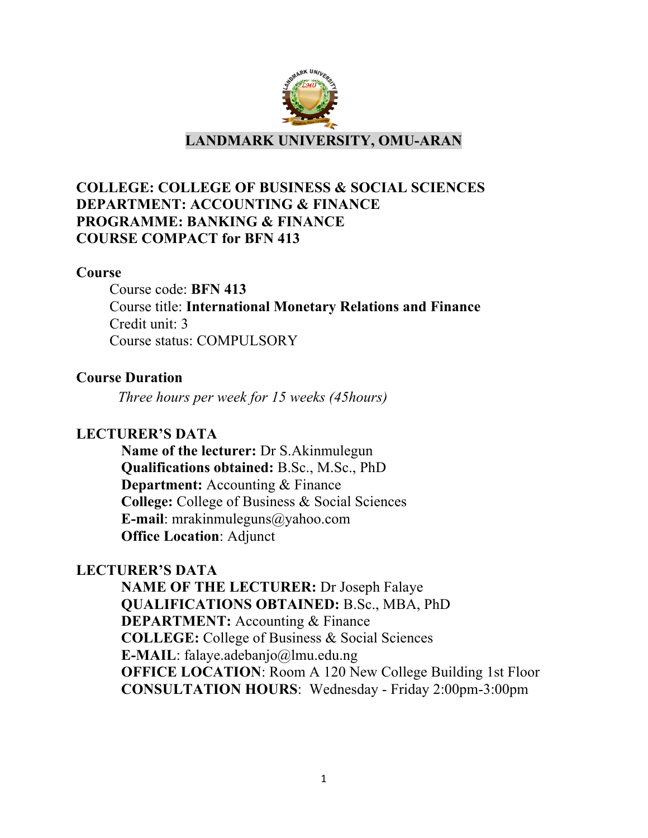

# **COLLEGE: COLLEGE OF BUSINESS & SOCIAL SCIENCES DEPARTMENT: ACCOUNTING & FINANCE PROGRAMME: BANKING & FINANCE COURSE COMPACT for BFN 413**

#### **Course**

Course code: **BFN 413** Course title: **International Monetary Relations and Finance** Credit unit: 3 Course status: COMPULSORY

#### **Course Duration**

*Three hours per week for 15 weeks (45hours)*

# **LECTURER'S DATA**

**Name of the lecturer:** Dr S.Akinmulegun **Qualifications obtained:** B.Sc., M.Sc., PhD **Department:** Accounting & Finance **College:** College of Business & Social Sciences **E-mail**: mrakinmuleguns@yahoo.com **Office Location**: Adjunct

#### **LECTURER'S DATA**

**NAME OF THE LECTURER:** Dr Joseph Falaye **QUALIFICATIONS OBTAINED:** B.Sc., MBA, PhD **DEPARTMENT:** Accounting & Finance **COLLEGE:** College of Business & Social Sciences **E-MAIL**: falaye.adebanjo@lmu.edu.ng **OFFICE LOCATION:** Room A 120 New College Building 1st Floor **CONSULTATION HOURS**: Wednesday - Friday 2:00pm-3:00pm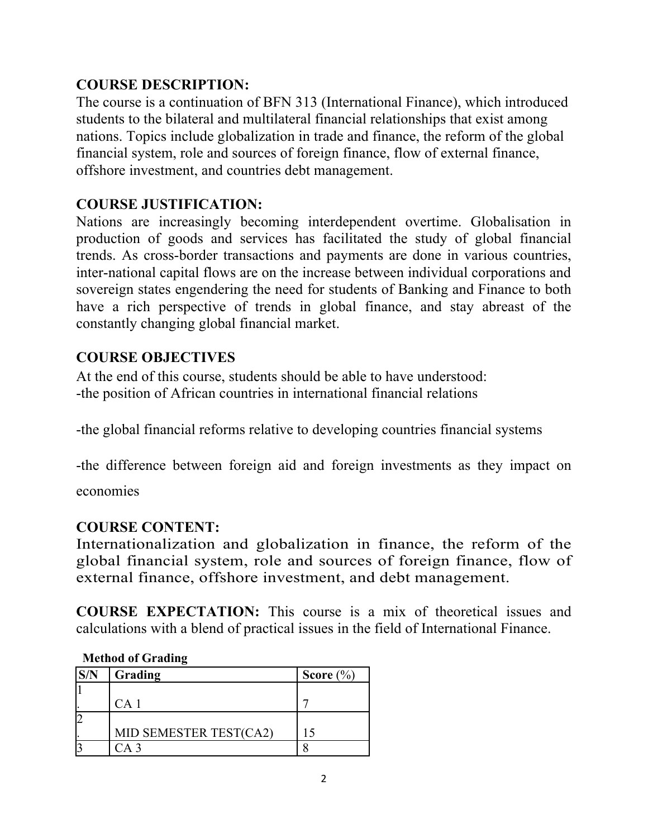# **COURSE DESCRIPTION:**

The course is a continuation of BFN 313 (International Finance), which introduced students to the bilateral and multilateral financial relationships that exist among nations. Topics include globalization in trade and finance, the reform of the global financial system, role and sources of foreign finance, flow of external finance, offshore investment, and countries debt management.

# **COURSE JUSTIFICATION:**

Nations are increasingly becoming interdependent overtime. Globalisation in production of goods and services has facilitated the study of global financial trends. As cross-border transactions and payments are done in various countries, inter-national capital flows are on the increase between individual corporations and sovereign states engendering the need for students of Banking and Finance to both have a rich perspective of trends in global finance, and stay abreast of the constantly changing global financial market.

# **COURSE OBJECTIVES**

At the end of this course, students should be able to have understood: -the position of African countries in international financial relations

-the global financial reforms relative to developing countries financial systems

-the difference between foreign aid and foreign investments as they impact on

economies

# **COURSE CONTENT:**

Internationalization and globalization in finance, the reform of the global financial system, role and sources of foreign finance, flow of external finance, offshore investment, and debt management.

**COURSE EXPECTATION:** This course is a mix of theoretical issues and calculations with a blend of practical issues in the field of International Finance.

# **Method of Grading**

| S/N | Grading                | Score $(\% )$ |
|-----|------------------------|---------------|
|     |                        |               |
|     | CA <sub>1</sub>        |               |
|     |                        |               |
|     | MID SEMESTER TEST(CA2) |               |
|     |                        |               |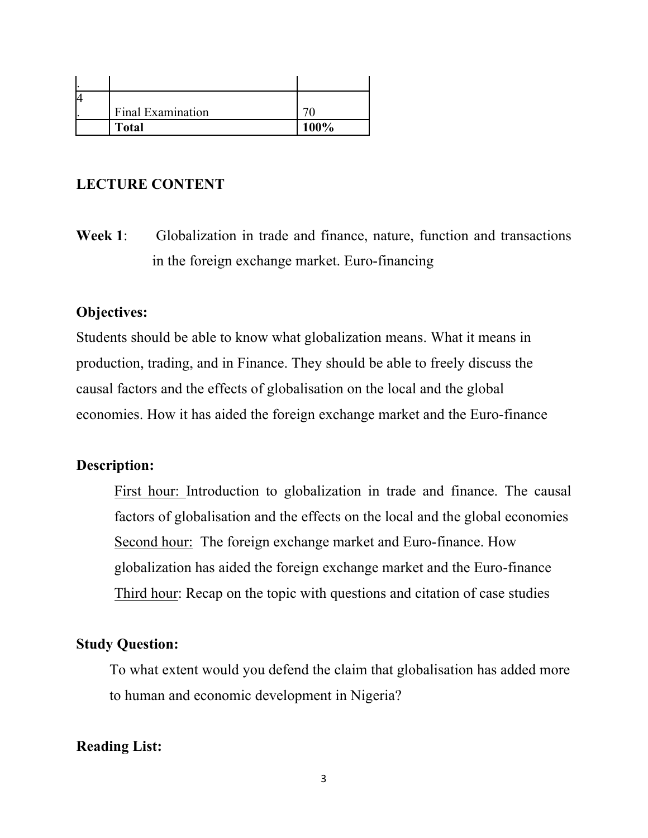| <b>Final Examination</b> |      |
|--------------------------|------|
| <b>Total</b>             | 100% |

#### **LECTURE CONTENT**

**Week 1**: Globalization in trade and finance, nature, function and transactions in the foreign exchange market. Euro-financing

#### **Objectives:**

Students should be able to know what globalization means. What it means in production, trading, and in Finance. They should be able to freely discuss the causal factors and the effects of globalisation on the local and the global economies. How it has aided the foreign exchange market and the Euro-finance

#### **Description:**

First hour: Introduction to globalization in trade and finance. The causal factors of globalisation and the effects on the local and the global economies Second hour: The foreign exchange market and Euro-finance. How globalization has aided the foreign exchange market and the Euro-finance Third hour: Recap on the topic with questions and citation of case studies

#### **Study Question:**

To what extent would you defend the claim that globalisation has added more to human and economic development in Nigeria?

#### **Reading List:**

3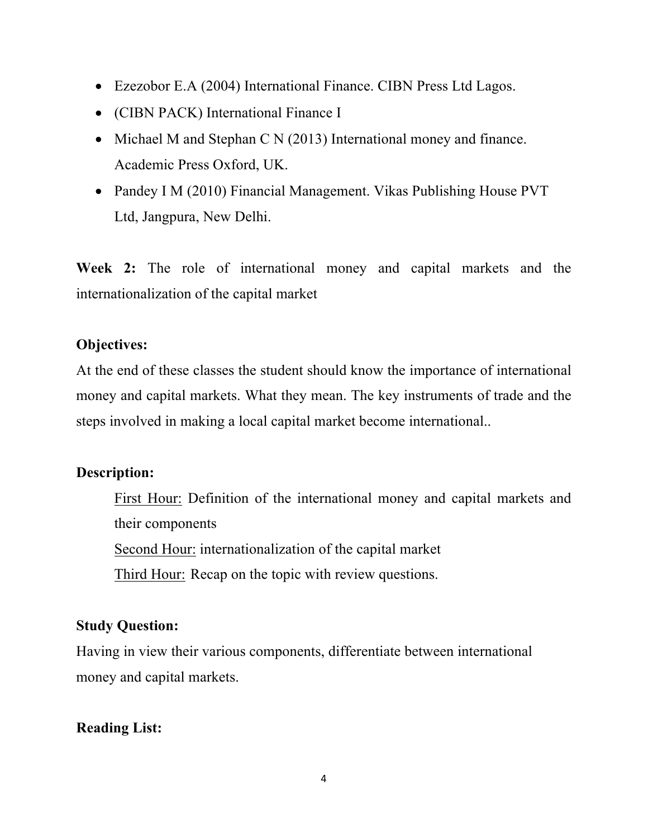- Ezezobor E.A (2004) International Finance. CIBN Press Ltd Lagos.
- (CIBN PACK) International Finance I
- Michael M and Stephan C N (2013) International money and finance. Academic Press Oxford, UK.
- Pandey I M (2010) Financial Management. Vikas Publishing House PVT Ltd, Jangpura, New Delhi.

**Week 2:** The role of international money and capital markets and the internationalization of the capital market

# **Objectives:**

At the end of these classes the student should know the importance of international money and capital markets. What they mean. The key instruments of trade and the steps involved in making a local capital market become international..

# **Description:**

First Hour: Definition of the international money and capital markets and their components Second Hour: internationalization of the capital market Third Hour: Recap on the topic with review questions.

# **Study Question:**

Having in view their various components, differentiate between international money and capital markets.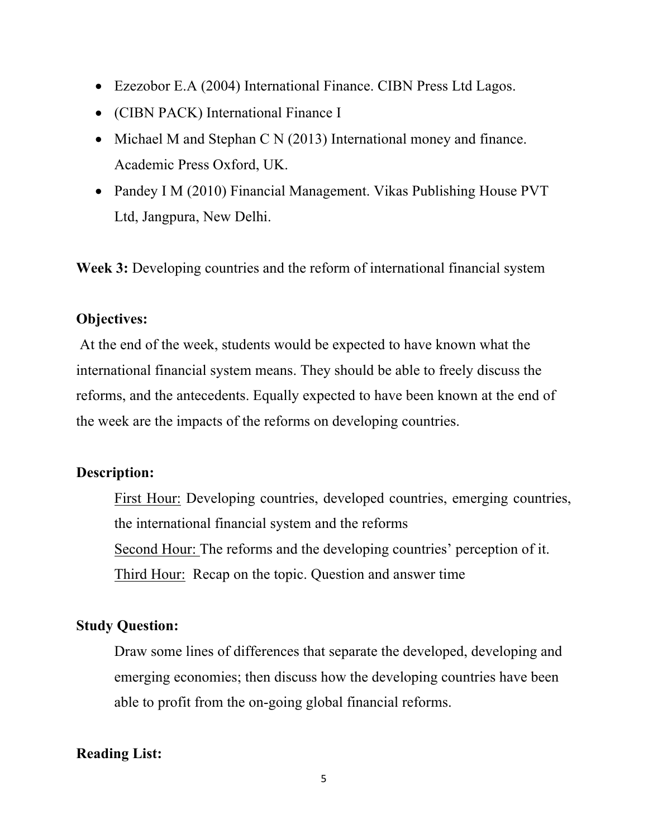- Ezezobor E.A (2004) International Finance. CIBN Press Ltd Lagos.
- (CIBN PACK) International Finance I
- Michael M and Stephan C N (2013) International money and finance. Academic Press Oxford, UK.
- Pandey I M (2010) Financial Management. Vikas Publishing House PVT Ltd, Jangpura, New Delhi.

**Week 3:** Developing countries and the reform of international financial system

# **Objectives:**

At the end of the week, students would be expected to have known what the international financial system means. They should be able to freely discuss the reforms, and the antecedents. Equally expected to have been known at the end of the week are the impacts of the reforms on developing countries.

# **Description:**

First Hour: Developing countries, developed countries, emerging countries, the international financial system and the reforms Second Hour: The reforms and the developing countries' perception of it. Third Hour: Recap on the topic. Question and answer time

# **Study Question:**

Draw some lines of differences that separate the developed, developing and emerging economies; then discuss how the developing countries have been able to profit from the on-going global financial reforms.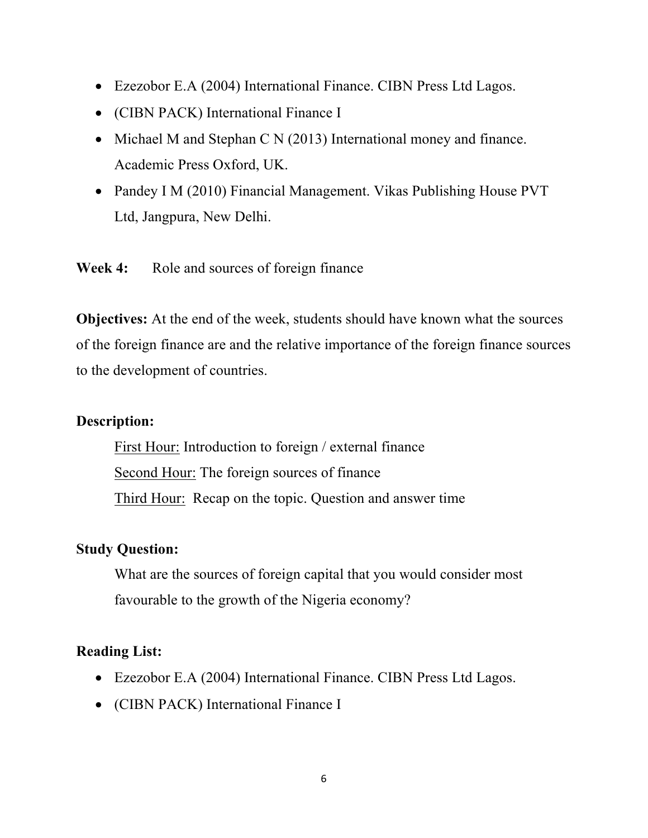- Ezezobor E.A (2004) International Finance. CIBN Press Ltd Lagos.
- (CIBN PACK) International Finance I
- Michael M and Stephan C N (2013) International money and finance. Academic Press Oxford, UK.
- Pandey I M (2010) Financial Management. Vikas Publishing House PVT Ltd, Jangpura, New Delhi.

Week 4: Role and sources of foreign finance

**Objectives:** At the end of the week, students should have known what the sources of the foreign finance are and the relative importance of the foreign finance sources to the development of countries.

#### **Description:**

First Hour: Introduction to foreign / external finance Second Hour: The foreign sources of finance Third Hour: Recap on the topic. Question and answer time

#### **Study Question:**

What are the sources of foreign capital that you would consider most favourable to the growth of the Nigeria economy?

- Ezezobor E.A (2004) International Finance. CIBN Press Ltd Lagos.
- (CIBN PACK) International Finance I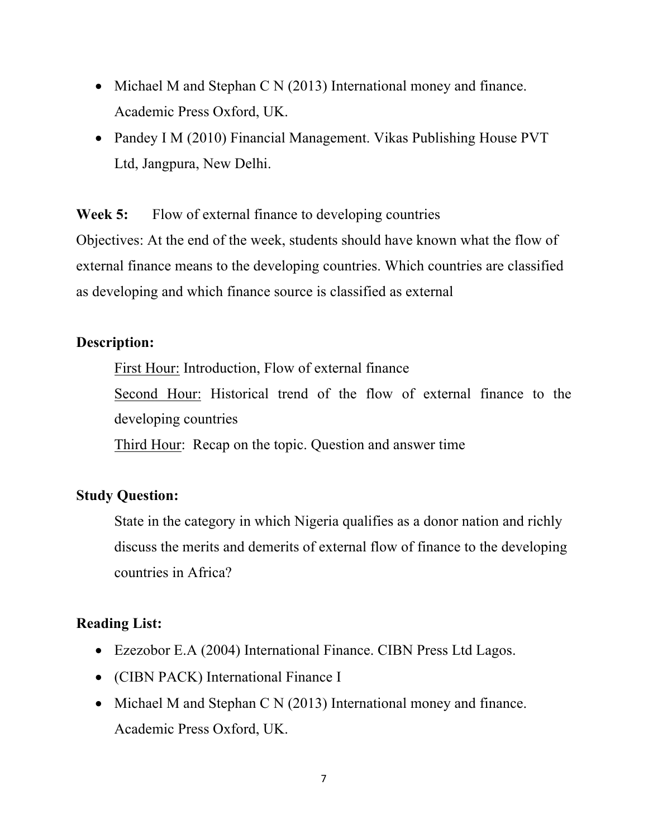- Michael M and Stephan C N (2013) International money and finance. Academic Press Oxford, UK.
- Pandey I M (2010) Financial Management. Vikas Publishing House PVT Ltd, Jangpura, New Delhi.

**Week 5:** Flow of external finance to developing countries Objectives: At the end of the week, students should have known what the flow of external finance means to the developing countries. Which countries are classified as developing and which finance source is classified as external

# **Description:**

First Hour: Introduction, Flow of external finance Second Hour: Historical trend of the flow of external finance to the developing countries

Third Hour: Recap on the topic. Question and answer time

# **Study Question:**

State in the category in which Nigeria qualifies as a donor nation and richly discuss the merits and demerits of external flow of finance to the developing countries in Africa?

- Ezezobor E.A (2004) International Finance. CIBN Press Ltd Lagos.
- (CIBN PACK) International Finance I
- Michael M and Stephan C N (2013) International money and finance. Academic Press Oxford, UK.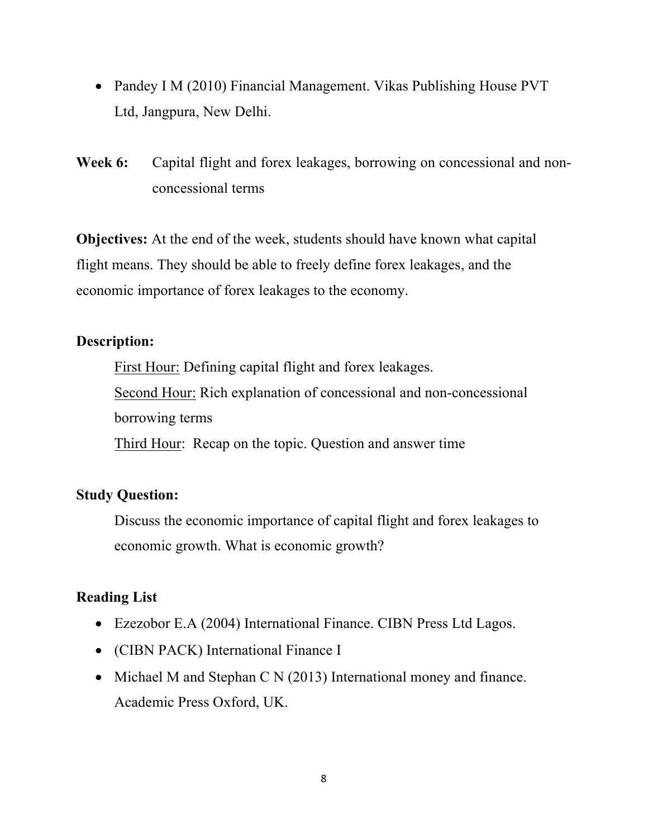- Pandey I M (2010) Financial Management. Vikas Publishing House PVT Ltd, Jangpura, New Delhi.
- **Week 6:** Capital flight and forex leakages, borrowing on concessional and nonconcessional terms

**Objectives:** At the end of the week, students should have known what capital flight means. They should be able to freely define forex leakages, and the economic importance of forex leakages to the economy.

# **Description:**

First Hour: Defining capital flight and forex leakages. Second Hour: Rich explanation of concessional and non-concessional borrowing terms Third Hour: Recap on the topic. Question and answer time

# **Study Question:**

Discuss the economic importance of capital flight and forex leakages to economic growth. What is economic growth?

- Ezezobor E.A (2004) International Finance. CIBN Press Ltd Lagos.
- (CIBN PACK) International Finance I
- Michael M and Stephan C N (2013) International money and finance. Academic Press Oxford, UK.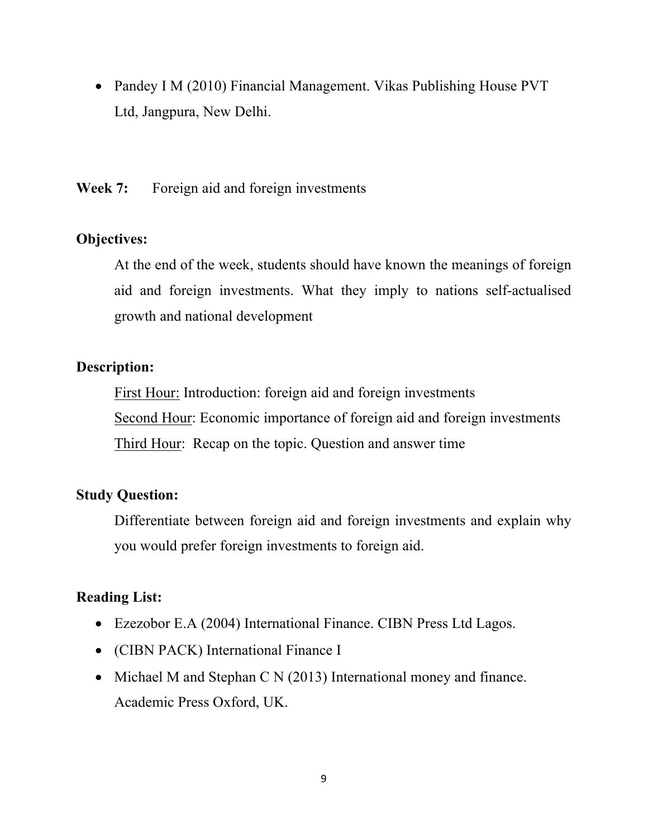• Pandey I M (2010) Financial Management. Vikas Publishing House PVT Ltd, Jangpura, New Delhi.

**Week 7:** Foreign aid and foreign investments

# **Objectives:**

At the end of the week, students should have known the meanings of foreign aid and foreign investments. What they imply to nations self-actualised growth and national development

# **Description:**

First Hour: Introduction: foreign aid and foreign investments Second Hour: Economic importance of foreign aid and foreign investments Third Hour: Recap on the topic. Question and answer time

# **Study Question:**

Differentiate between foreign aid and foreign investments and explain why you would prefer foreign investments to foreign aid.

- Ezezobor E.A (2004) International Finance. CIBN Press Ltd Lagos.
- (CIBN PACK) International Finance I
- Michael M and Stephan C N (2013) International money and finance. Academic Press Oxford, UK.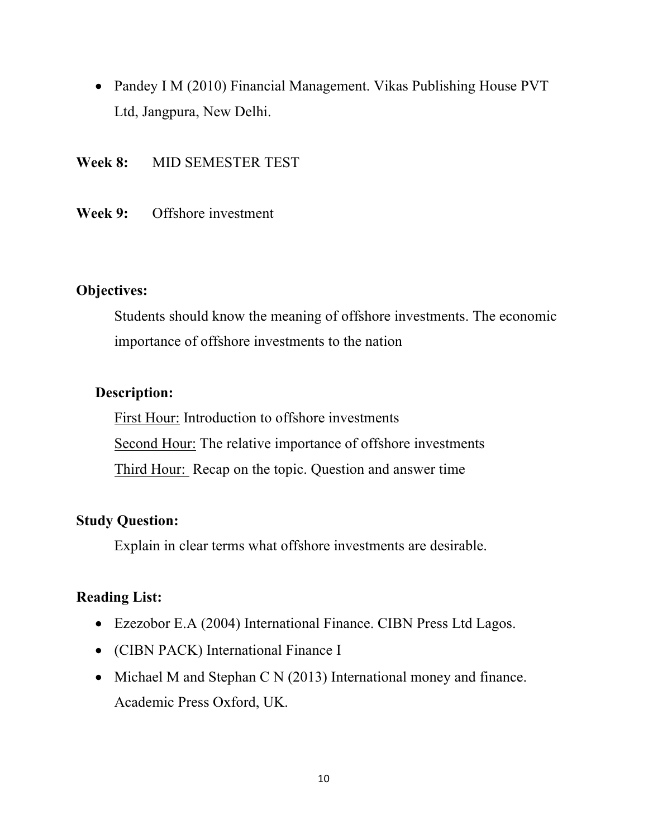- Pandey I M (2010) Financial Management. Vikas Publishing House PVT Ltd, Jangpura, New Delhi.
- **Week 8:** MID SEMESTER TEST
- **Week 9:** Offshore investment

# **Objectives:**

Students should know the meaning of offshore investments. The economic importance of offshore investments to the nation

# **Description:**

First Hour: Introduction to offshore investments Second Hour: The relative importance of offshore investments Third Hour: Recap on the topic. Question and answer time

# **Study Question:**

Explain in clear terms what offshore investments are desirable.

- Ezezobor E.A (2004) International Finance. CIBN Press Ltd Lagos.
- (CIBN PACK) International Finance I
- Michael M and Stephan C N (2013) International money and finance. Academic Press Oxford, UK.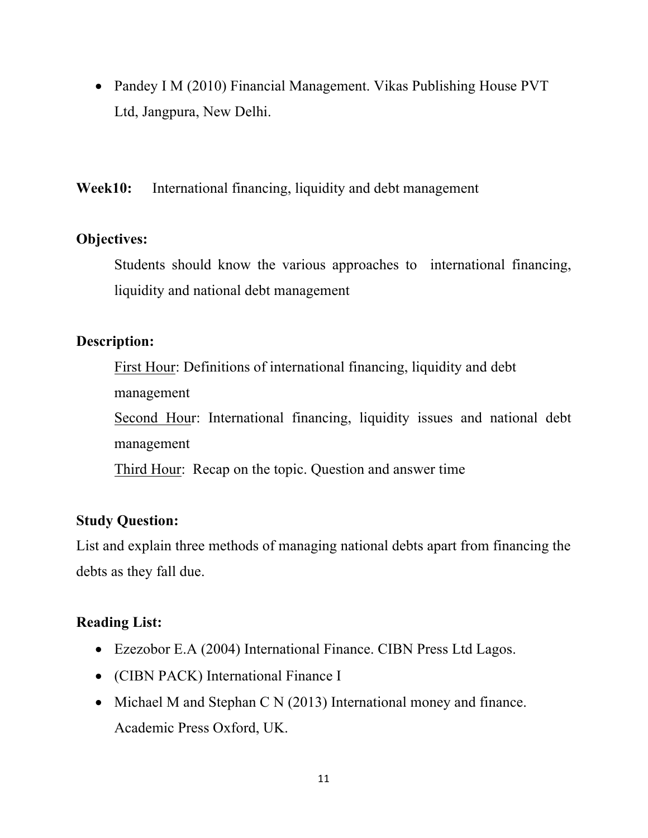• Pandey I M (2010) Financial Management. Vikas Publishing House PVT Ltd, Jangpura, New Delhi.

**Week10:** International financing, liquidity and debt management

#### **Objectives:**

Students should know the various approaches to international financing, liquidity and national debt management

# **Description:**

First Hour: Definitions of international financing, liquidity and debt management Second Hour: International financing, liquidity issues and national debt management Third Hour: Recap on the topic. Question and answer time

# **Study Question:**

List and explain three methods of managing national debts apart from financing the debts as they fall due.

- Ezezobor E.A (2004) International Finance. CIBN Press Ltd Lagos.
- (CIBN PACK) International Finance I
- Michael M and Stephan C N (2013) International money and finance. Academic Press Oxford, UK.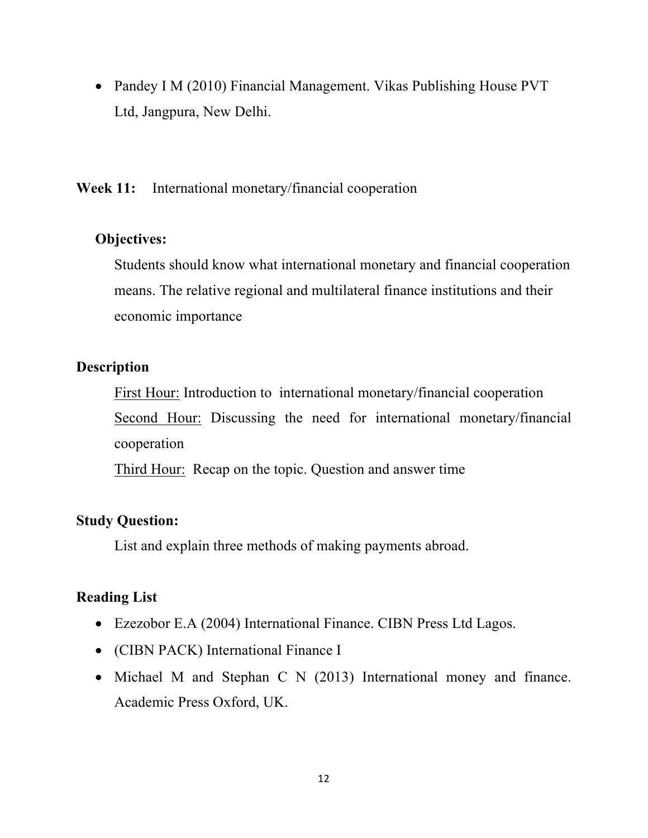• Pandey I M (2010) Financial Management. Vikas Publishing House PVT Ltd, Jangpura, New Delhi.

**Week 11:** International monetary/financial cooperation

# **Objectives:**

Students should know what international monetary and financial cooperation means. The relative regional and multilateral finance institutions and their economic importance

# **Description**

First Hour: Introduction to international monetary/financial cooperation Second Hour: Discussing the need for international monetary/financial cooperation

Third Hour: Recap on the topic. Question and answer time

# **Study Question:**

List and explain three methods of making payments abroad.

- Ezezobor E.A (2004) International Finance. CIBN Press Ltd Lagos.
- (CIBN PACK) International Finance I
- Michael M and Stephan C N (2013) International money and finance. Academic Press Oxford, UK.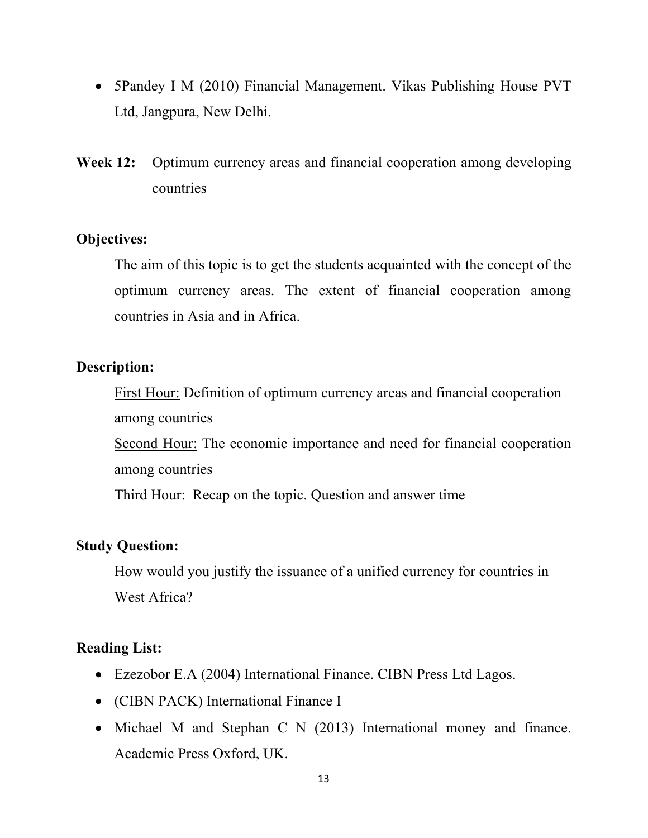- 5Pandey I M (2010) Financial Management. Vikas Publishing House PVT Ltd, Jangpura, New Delhi.
- **Week 12:** Optimum currency areas and financial cooperation among developing countries

# **Objectives:**

The aim of this topic is to get the students acquainted with the concept of the optimum currency areas. The extent of financial cooperation among countries in Asia and in Africa.

#### **Description:**

First Hour: Definition of optimum currency areas and financial cooperation among countries

Second Hour: The economic importance and need for financial cooperation among countries

Third Hour: Recap on the topic. Question and answer time

# **Study Question:**

How would you justify the issuance of a unified currency for countries in West Africa?

- Ezezobor E.A (2004) International Finance. CIBN Press Ltd Lagos.
- (CIBN PACK) International Finance I
- Michael M and Stephan C N (2013) International money and finance. Academic Press Oxford, UK.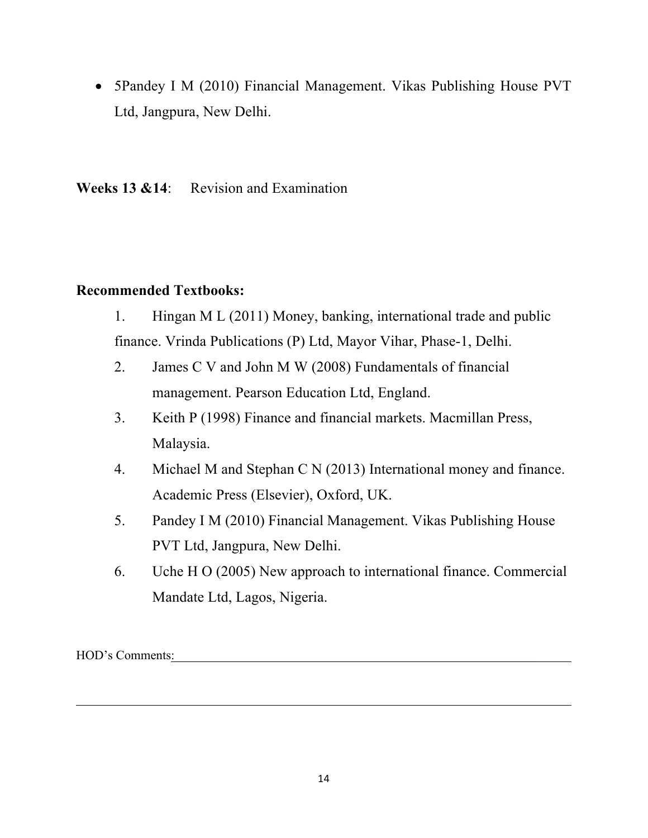• 5Pandey I M (2010) Financial Management. Vikas Publishing House PVT Ltd, Jangpura, New Delhi.

**Weeks 13 &14**: Revision and Examination

# **Recommended Textbooks:**

- 1. Hingan M L (2011) Money, banking, international trade and public finance. Vrinda Publications (P) Ltd, Mayor Vihar, Phase-1, Delhi.
- 2. James C V and John M W (2008) Fundamentals of financial management. Pearson Education Ltd, England.
- 3. Keith P (1998) Finance and financial markets. Macmillan Press, Malaysia.
- 4. Michael M and Stephan C N (2013) International money and finance. Academic Press (Elsevier), Oxford, UK.
- 5. Pandey I M (2010) Financial Management. Vikas Publishing House PVT Ltd, Jangpura, New Delhi.
- 6. Uche H O (2005) New approach to international finance. Commercial Mandate Ltd, Lagos, Nigeria.

HOD's Comments: